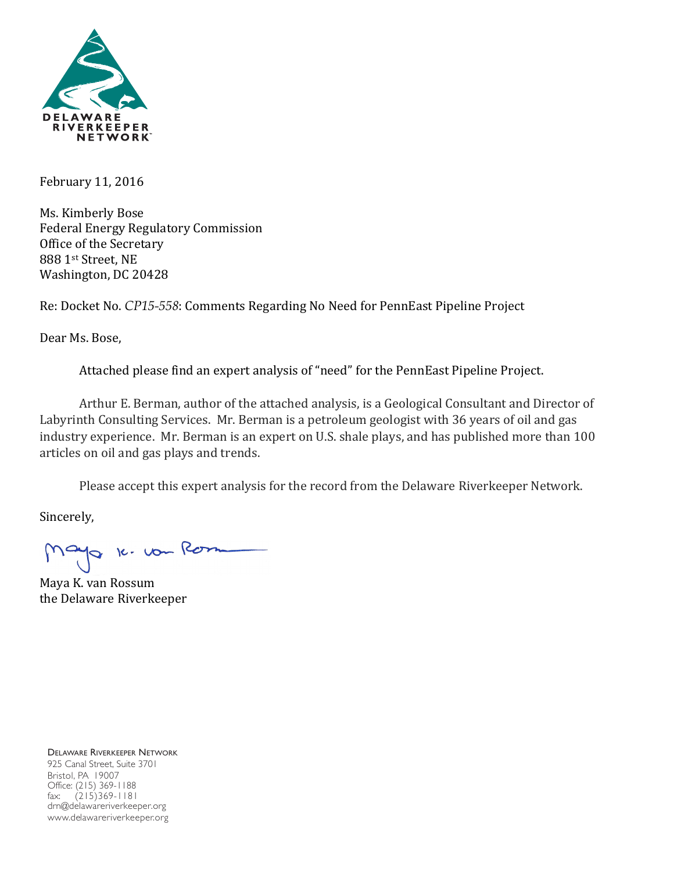

February 11, 2016

Ms. Kimberly Bose Federal Energy Regulatory Commission Office of the Secretary 888 1st Street, NE Washington, DC 20428

Re: Docket No. *CP15-558*: Comments Regarding No Need for PennEast Pipeline Project

Dear Ms. Bose,

Attached please find an expert analysis of "need" for the PennEast Pipeline Project.

Arthur E. Berman, author of the attached analysis, is a Geological Consultant and Director of Labyrinth Consulting Services. Mr. Berman is a petroleum geologist with 36 years of oil and gas industry experience. Mr. Berman is an expert on U.S. shale plays, and has published more than 100 articles on oil and gas plays and trends.

Please accept this expert analysis for the record from the Delaware Riverkeeper Network.

Sincerely,

10 k. vou Rom

Maya K. van Rossum the Delaware Riverkeeper

DELAWARE RIVERKEEPER NETWORK 925 Canal Street, Suite 3701 Bristol, PA 19007 Office: (215) 369-1188 fax: (215)369-1181 drn@delawareriverkeeper.org www.delawareriverkeeper.org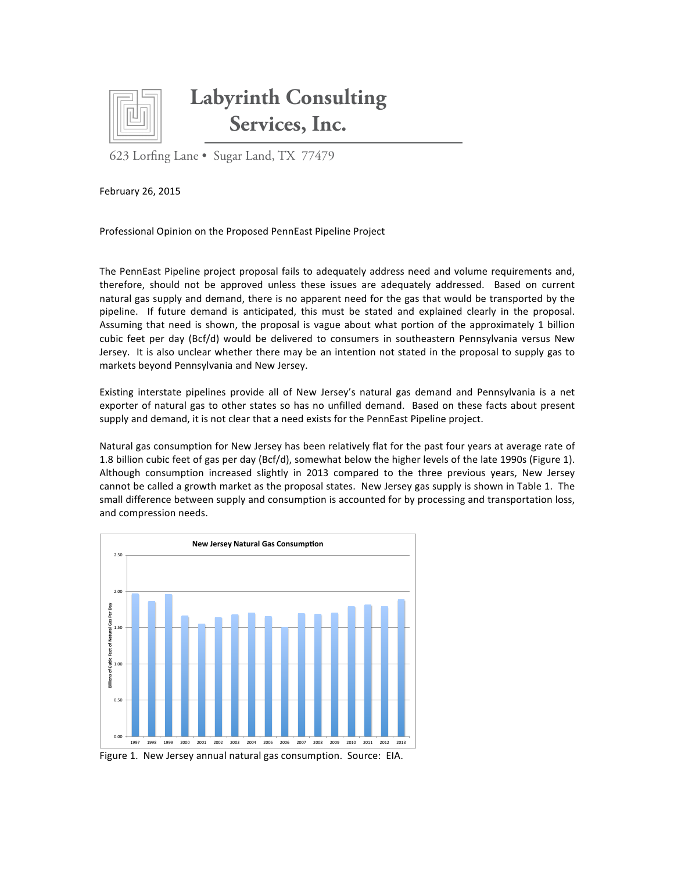

## **Labyrinth Consulting Services, Inc.**

623 Lorfing Lane • Sugar Land, TX 77479

February 26, 2015

Professional Opinion on the Proposed PennEast Pipeline Project

The PennEast Pipeline project proposal fails to adequately address need and volume requirements and, therefore, should not be approved unless these issues are adequately addressed. Based on current natural gas supply and demand, there is no apparent need for the gas that would be transported by the pipeline. If future demand is anticipated, this must be stated and explained clearly in the proposal. Assuming that need is shown, the proposal is vague about what portion of the approximately 1 billion cubic feet per day (Bcf/d) would be delivered to consumers in southeastern Pennsylvania versus New Jersey. It is also unclear whether there may be an intention not stated in the proposal to supply gas to markets beyond Pennsylvania and New Jersey.

Existing interstate pipelines provide all of New Jersey's natural gas demand and Pennsylvania is a net exporter of natural gas to other states so has no unfilled demand. Based on these facts about present supply and demand, it is not clear that a need exists for the PennEast Pipeline project.

Natural gas consumption for New Jersey has been relatively flat for the past four years at average rate of 1.8 billion cubic feet of gas per day (Bcf/d), somewhat below the higher levels of the late 1990s (Figure 1). Although consumption increased slightly in 2013 compared to the three previous years, New Jersey cannot be called a growth market as the proposal states. New Jersey gas supply is shown in Table 1. The small difference between supply and consumption is accounted for by processing and transportation loss, and compression needs.



Figure 1. New Jersey annual natural gas consumption. Source: EIA.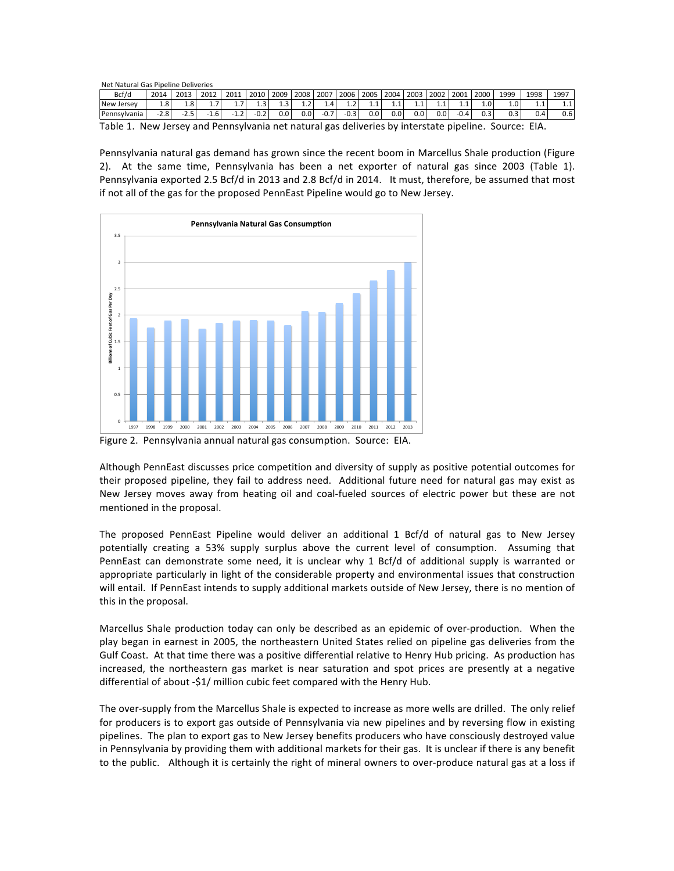Net Natural Gas Dineline Deliveries

| <u>INCLINGUATOR OGS FIDERITE DEIN CITES</u> |        |        |      |                 |        |       |      |          |            |         |         |         |                       |        |      |      |         |       |
|---------------------------------------------|--------|--------|------|-----------------|--------|-------|------|----------|------------|---------|---------|---------|-----------------------|--------|------|------|---------|-------|
| Bcf/d                                       | 2014   | 2013   | 2012 | 2011            | 2010   | 2009  | 2008 | 2007     | 2006       | 2005    | 2004    | 2003    | $^{\circ}$ 2002 $\pm$ | 2001   | 2000 | 1999 | 1998    | 1997  |
| New Jersey                                  | 1.8'   | 1.8    | -    | -<br><b>1.7</b> | د.⊾    | د.⊥   | ⊥.∠  | $\pm .4$ | <b>1.4</b> | <b></b> | <b></b> |         | <b></b>               | ᆠ      |      | 1.0  | <b></b> | ⊥.⊥   |
| Pennsylvania                                | $-2.8$ | $-2.5$ | -1.6 | $-L.L$          | $-0.2$ | 0.O I | 0.01 | $-0.7$   | $-0.3$     | 0.0     | 0.0     | $0.0\,$ | 0.0                   | $-0.4$ |      | U.J  | 0.4     | 0.6 I |
| $- \cdot \cdot$                             |        |        |      |                 |        |       |      |          |            |         |         |         |                       |        |      |      |         |       |

Table 1. New Jersey and Pennsylvania net natural gas deliveries by interstate pipeline. Source: EIA.

Pennsylvania natural gas demand has grown since the recent boom in Marcellus Shale production (Figure 2). At the same time, Pennsylvania has been a net exporter of natural gas since 2003 (Table 1). Pennsylvania exported 2.5 Bcf/d in 2013 and 2.8 Bcf/d in 2014. It must, therefore, be assumed that most if not all of the gas for the proposed PennEast Pipeline would go to New Jersey.



Figure 2. Pennsylvania annual natural gas consumption. Source: EIA.

Although PennEast discusses price competition and diversity of supply as positive potential outcomes for their proposed pipeline, they fail to address need. Additional future need for natural gas may exist as New Jersey moves away from heating oil and coal-fueled sources of electric power but these are not mentioned in the proposal.

The proposed PennEast Pipeline would deliver an additional 1 Bcf/d of natural gas to New Jersey potentially creating a 53% supply surplus above the current level of consumption. Assuming that PennEast can demonstrate some need, it is unclear why 1 Bcf/d of additional supply is warranted or appropriate particularly in light of the considerable property and environmental issues that construction will entail. If PennEast intends to supply additional markets outside of New Jersey, there is no mention of this in the proposal.

Marcellus Shale production today can only be described as an epidemic of over-production. When the play began in earnest in 2005, the northeastern United States relied on pipeline gas deliveries from the Gulf Coast. At that time there was a positive differential relative to Henry Hub pricing. As production has increased, the northeastern gas market is near saturation and spot prices are presently at a negative differential of about -\$1/ million cubic feet compared with the Henry Hub.

The over-supply from the Marcellus Shale is expected to increase as more wells are drilled. The only relief for producers is to export gas outside of Pennsylvania via new pipelines and by reversing flow in existing pipelines. The plan to export gas to New Jersey benefits producers who have consciously destroyed value in Pennsylvania by providing them with additional markets for their gas. It is unclear if there is any benefit to the public. Although it is certainly the right of mineral owners to over-produce natural gas at a loss if